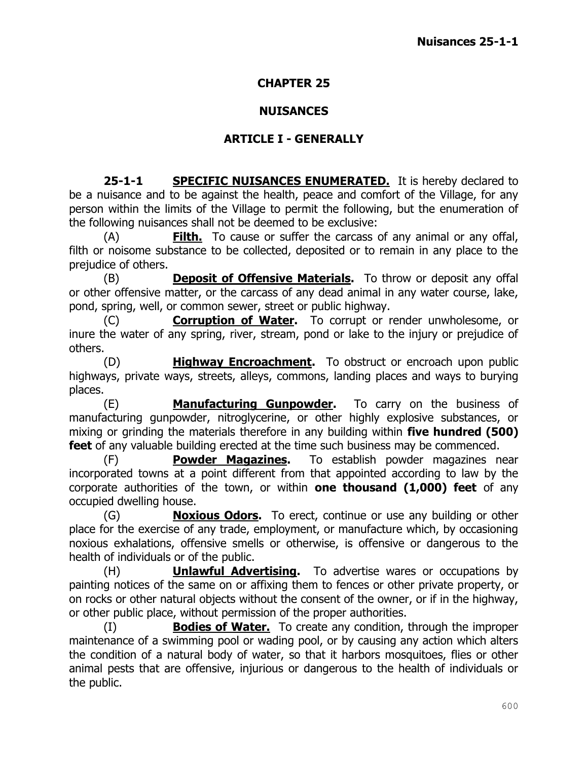#### **CHAPTER 25**

#### **NUISANCES**

#### **ARTICLE I - GENERALLY**

**25-1-1 SPECIFIC NUISANCES ENUMERATED.** It is hereby declared to be a nuisance and to be against the health, peace and comfort of the Village, for any person within the limits of the Village to permit the following, but the enumeration of the following nuisances shall not be deemed to be exclusive:

(A) **Filth.** To cause or suffer the carcass of any animal or any offal, filth or noisome substance to be collected, deposited or to remain in any place to the prejudice of others.

(B) **Deposit of Offensive Materials.** To throw or deposit any offal or other offensive matter, or the carcass of any dead animal in any water course, lake, pond, spring, well, or common sewer, street or public highway.

(C) **Corruption of Water.** To corrupt or render unwholesome, or inure the water of any spring, river, stream, pond or lake to the injury or prejudice of others.

(D) **Highway Encroachment.** To obstruct or encroach upon public highways, private ways, streets, alleys, commons, landing places and ways to burying places.

(E) **Manufacturing Gunpowder.** To carry on the business of manufacturing gunpowder, nitroglycerine, or other highly explosive substances, or mixing or grinding the materials therefore in any building within **five hundred (500) feet** of any valuable building erected at the time such business may be commenced.

(F) **Powder Magazines.** To establish powder magazines near incorporated towns at a point different from that appointed according to law by the corporate authorities of the town, or within **one thousand (1,000) feet** of any occupied dwelling house.

(G) **Noxious Odors.** To erect, continue or use any building or other place for the exercise of any trade, employment, or manufacture which, by occasioning noxious exhalations, offensive smells or otherwise, is offensive or dangerous to the health of individuals or of the public.

(H) **Unlawful Advertising.** To advertise wares or occupations by painting notices of the same on or affixing them to fences or other private property, or on rocks or other natural objects without the consent of the owner, or if in the highway, or other public place, without permission of the proper authorities.

(I) **Bodies of Water.** To create any condition, through the improper maintenance of a swimming pool or wading pool, or by causing any action which alters the condition of a natural body of water, so that it harbors mosquitoes, flies or other animal pests that are offensive, injurious or dangerous to the health of individuals or the public.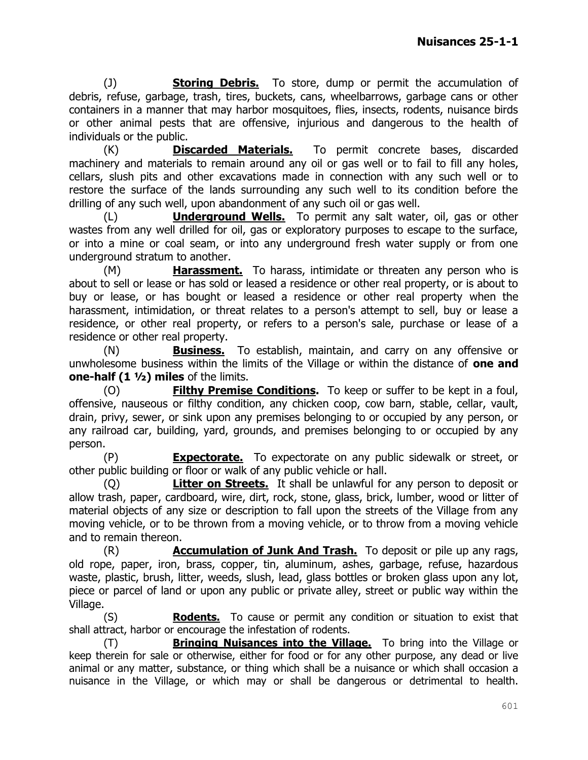(J) **Storing Debris.** To store, dump or permit the accumulation of debris, refuse, garbage, trash, tires, buckets, cans, wheelbarrows, garbage cans or other containers in a manner that may harbor mosquitoes, flies, insects, rodents, nuisance birds or other animal pests that are offensive, injurious and dangerous to the health of individuals or the public.

(K) **Discarded Materials.** To permit concrete bases, discarded machinery and materials to remain around any oil or gas well or to fail to fill any holes, cellars, slush pits and other excavations made in connection with any such well or to restore the surface of the lands surrounding any such well to its condition before the drilling of any such well, upon abandonment of any such oil or gas well.

(L) **Underground Wells.** To permit any salt water, oil, gas or other wastes from any well drilled for oil, gas or exploratory purposes to escape to the surface, or into a mine or coal seam, or into any underground fresh water supply or from one underground stratum to another.

(M) **Harassment.** To harass, intimidate or threaten any person who is about to sell or lease or has sold or leased a residence or other real property, or is about to buy or lease, or has bought or leased a residence or other real property when the harassment, intimidation, or threat relates to a person's attempt to sell, buy or lease a residence, or other real property, or refers to a person's sale, purchase or lease of a residence or other real property.

(N) **Business.** To establish, maintain, and carry on any offensive or unwholesome business within the limits of the Village or within the distance of **one and one-half (1 ½) miles** of the limits.

(O) **Filthy Premise Conditions.** To keep or suffer to be kept in a foul, offensive, nauseous or filthy condition, any chicken coop, cow barn, stable, cellar, vault, drain, privy, sewer, or sink upon any premises belonging to or occupied by any person, or any railroad car, building, yard, grounds, and premises belonging to or occupied by any person.

(P) **Expectorate.** To expectorate on any public sidewalk or street, or other public building or floor or walk of any public vehicle or hall.

(Q) **Litter on Streets.** It shall be unlawful for any person to deposit or allow trash, paper, cardboard, wire, dirt, rock, stone, glass, brick, lumber, wood or litter of material objects of any size or description to fall upon the streets of the Village from any moving vehicle, or to be thrown from a moving vehicle, or to throw from a moving vehicle and to remain thereon.

(R) **Accumulation of Junk And Trash.** To deposit or pile up any rags, old rope, paper, iron, brass, copper, tin, aluminum, ashes, garbage, refuse, hazardous waste, plastic, brush, litter, weeds, slush, lead, glass bottles or broken glass upon any lot, piece or parcel of land or upon any public or private alley, street or public way within the Village.

(S) **Rodents.** To cause or permit any condition or situation to exist that shall attract, harbor or encourage the infestation of rodents.

(T) **Bringing Nuisances into the Village.** To bring into the Village or keep therein for sale or otherwise, either for food or for any other purpose, any dead or live animal or any matter, substance, or thing which shall be a nuisance or which shall occasion a nuisance in the Village, or which may or shall be dangerous or detrimental to health.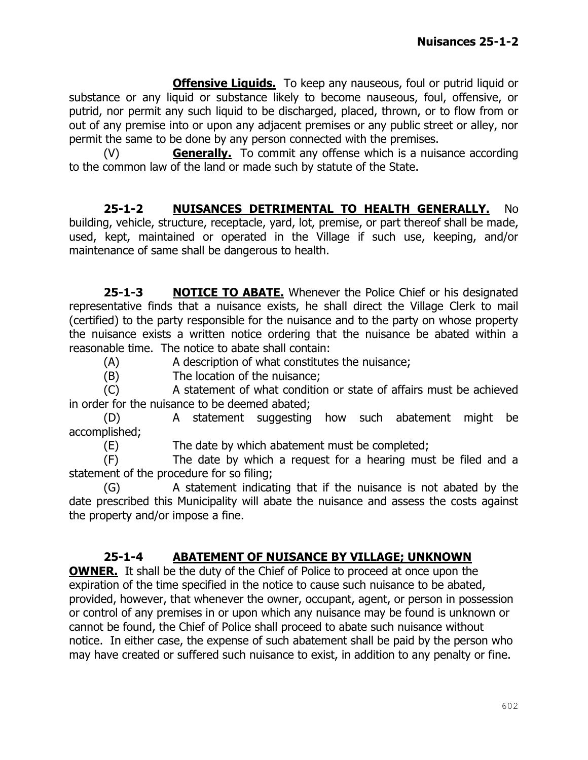**Offensive Liquids.** To keep any nauseous, foul or putrid liquid or substance or any liquid or substance likely to become nauseous, foul, offensive, or putrid, nor permit any such liquid to be discharged, placed, thrown, or to flow from or out of any premise into or upon any adjacent premises or any public street or alley, nor permit the same to be done by any person connected with the premises.

(V) **Generally.** To commit any offense which is a nuisance according to the common law of the land or made such by statute of the State.

**25-1-2 NUISANCES DETRIMENTAL TO HEALTH GENERALLY.** No building, vehicle, structure, receptacle, yard, lot, premise, or part thereof shall be made, used, kept, maintained or operated in the Village if such use, keeping, and/or maintenance of same shall be dangerous to health.

**25-1-3 NOTICE TO ABATE.** Whenever the Police Chief or his designated representative finds that a nuisance exists, he shall direct the Village Clerk to mail (certified) to the party responsible for the nuisance and to the party on whose property the nuisance exists a written notice ordering that the nuisance be abated within a reasonable time. The notice to abate shall contain:

(A) A description of what constitutes the nuisance;

(B) The location of the nuisance;

(C) A statement of what condition or state of affairs must be achieved in order for the nuisance to be deemed abated;

(D) A statement suggesting how such abatement might be accomplished;

(E) The date by which abatement must be completed;

(F) The date by which a request for a hearing must be filed and a statement of the procedure for so filing;

(G) A statement indicating that if the nuisance is not abated by the date prescribed this Municipality will abate the nuisance and assess the costs against the property and/or impose a fine.

### **25-1-4 ABATEMENT OF NUISANCE BY VILLAGE; UNKNOWN**

**OWNER.** It shall be the duty of the Chief of Police to proceed at once upon the expiration of the time specified in the notice to cause such nuisance to be abated, provided, however, that whenever the owner, occupant, agent, or person in possession or control of any premises in or upon which any nuisance may be found is unknown or cannot be found, the Chief of Police shall proceed to abate such nuisance without notice. In either case, the expense of such abatement shall be paid by the person who may have created or suffered such nuisance to exist, in addition to any penalty or fine.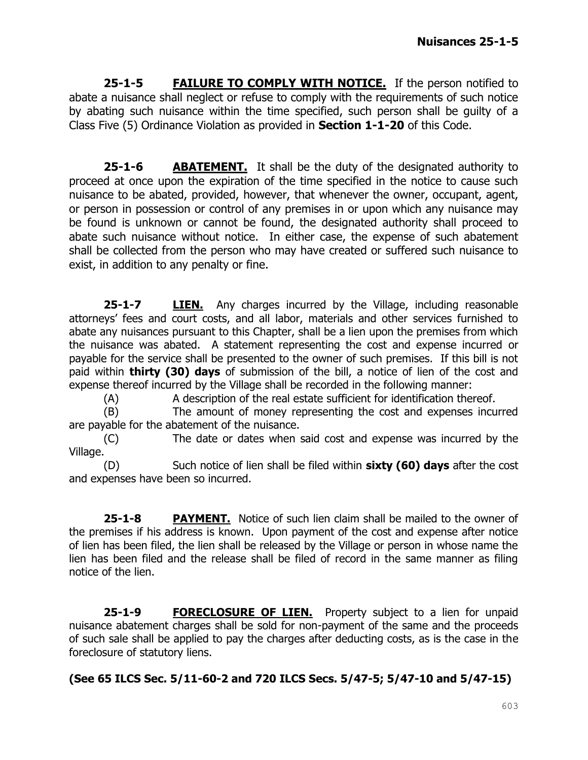**25-1-5 FAILURE TO COMPLY WITH NOTICE.** If the person notified to abate a nuisance shall neglect or refuse to comply with the requirements of such notice by abating such nuisance within the time specified, such person shall be guilty of a Class Five (5) Ordinance Violation as provided in **Section 1-1-20** of this Code.

**25-1-6 ABATEMENT.** It shall be the duty of the designated authority to proceed at once upon the expiration of the time specified in the notice to cause such nuisance to be abated, provided, however, that whenever the owner, occupant, agent, or person in possession or control of any premises in or upon which any nuisance may be found is unknown or cannot be found, the designated authority shall proceed to abate such nuisance without notice. In either case, the expense of such abatement shall be collected from the person who may have created or suffered such nuisance to exist, in addition to any penalty or fine.

**25-1-7 LIEN.** Any charges incurred by the Village, including reasonable attorneys' fees and court costs, and all labor, materials and other services furnished to abate any nuisances pursuant to this Chapter, shall be a lien upon the premises from which the nuisance was abated. A statement representing the cost and expense incurred or payable for the service shall be presented to the owner of such premises. If this bill is not paid within **thirty (30) days** of submission of the bill, a notice of lien of the cost and expense thereof incurred by the Village shall be recorded in the following manner:

(A) A description of the real estate sufficient for identification thereof.

(B) The amount of money representing the cost and expenses incurred are payable for the abatement of the nuisance.

(C) The date or dates when said cost and expense was incurred by the Village.

(D) Such notice of lien shall be filed within **sixty (60) days** after the cost and expenses have been so incurred.

**25-1-8 PAYMENT.** Notice of such lien claim shall be mailed to the owner of the premises if his address is known. Upon payment of the cost and expense after notice of lien has been filed, the lien shall be released by the Village or person in whose name the lien has been filed and the release shall be filed of record in the same manner as filing notice of the lien.

25-1-9 **FORECLOSURE OF LIEN.** Property subject to a lien for unpaid nuisance abatement charges shall be sold for non-payment of the same and the proceeds of such sale shall be applied to pay the charges after deducting costs, as is the case in the foreclosure of statutory liens.

**(See 65 ILCS Sec. 5/11-60-2 and 720 ILCS Secs. 5/47-5; 5/47-10 and 5/47-15)**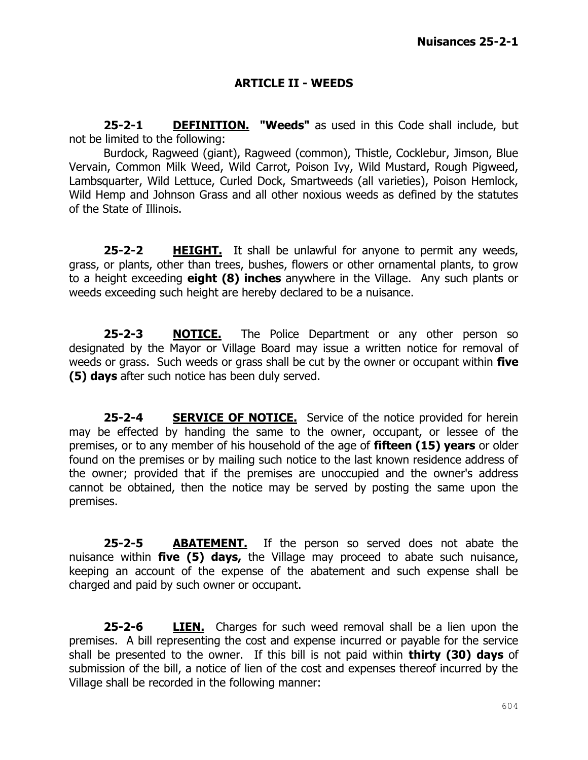#### **ARTICLE II - WEEDS**

**25-2-1 DEFINITION. "Weeds"** as used in this Code shall include, but not be limited to the following:

Burdock, Ragweed (giant), Ragweed (common), Thistle, Cocklebur, Jimson, Blue Vervain, Common Milk Weed, Wild Carrot, Poison Ivy, Wild Mustard, Rough Pigweed, Lambsquarter, Wild Lettuce, Curled Dock, Smartweeds (all varieties), Poison Hemlock, Wild Hemp and Johnson Grass and all other noxious weeds as defined by the statutes of the State of Illinois.

**25-2-2 HEIGHT.** It shall be unlawful for anyone to permit any weeds, grass, or plants, other than trees, bushes, flowers or other ornamental plants, to grow to a height exceeding **eight (8) inches** anywhere in the Village. Any such plants or weeds exceeding such height are hereby declared to be a nuisance.

**25-2-3 NOTICE.** The Police Department or any other person so designated by the Mayor or Village Board may issue a written notice for removal of weeds or grass. Such weeds or grass shall be cut by the owner or occupant within **five (5) days** after such notice has been duly served.

**25-2-4 SERVICE OF NOTICE.** Service of the notice provided for herein may be effected by handing the same to the owner, occupant, or lessee of the premises, or to any member of his household of the age of **fifteen (15) years** or older found on the premises or by mailing such notice to the last known residence address of the owner; provided that if the premises are unoccupied and the owner's address cannot be obtained, then the notice may be served by posting the same upon the premises.

**25-2-5 ABATEMENT.** If the person so served does not abate the nuisance within **five (5) days,** the Village may proceed to abate such nuisance, keeping an account of the expense of the abatement and such expense shall be charged and paid by such owner or occupant.

**25-2-6 LIEN.** Charges for such weed removal shall be a lien upon the premises. A bill representing the cost and expense incurred or payable for the service shall be presented to the owner. If this bill is not paid within **thirty (30) days** of submission of the bill, a notice of lien of the cost and expenses thereof incurred by the Village shall be recorded in the following manner: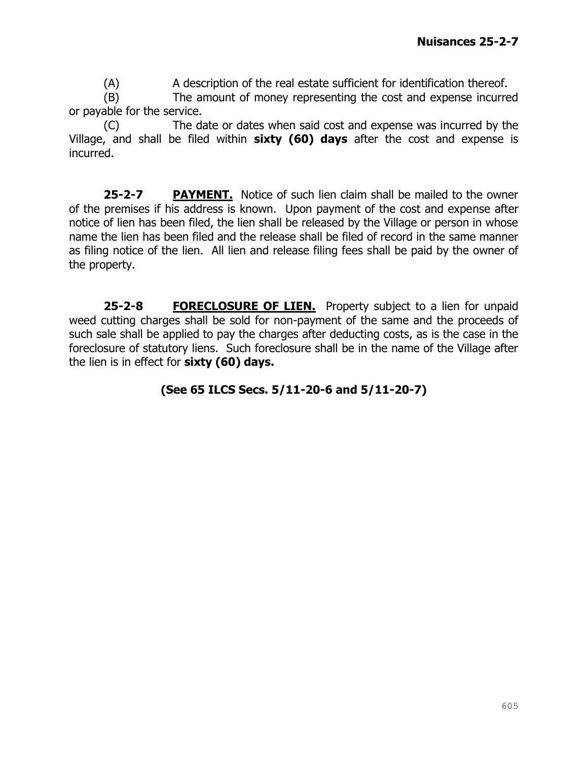(A) A description of the real estate sufficient for identification thereof.

(B) The amount of money representing the cost and expense incurred or payable for the service.

(C) The date or dates when said cost and expense was incurred by the Village, and shall be filed within **sixty (60) days** after the cost and expense is incurred.

**25-2-7 PAYMENT.** Notice of such lien claim shall be mailed to the owner of the premises if his address is known. Upon payment of the cost and expense after notice of lien has been filed, the lien shall be released by the Village or person in whose name the lien has been filed and the release shall be filed of record in the same manner as filing notice of the lien. All lien and release filing fees shall be paid by the owner of the property.

**25-2-8 FORECLOSURE OF LIEN.** Property subject to a lien for unpaid weed cutting charges shall be sold for non-payment of the same and the proceeds of such sale shall be applied to pay the charges after deducting costs, as is the case in the foreclosure of statutory liens. Such foreclosure shall be in the name of the Village after the lien is in effect for **sixty (60) days.** 

### **(See 65 ILCS Secs. 5/11-20-6 and 5/11-20-7)**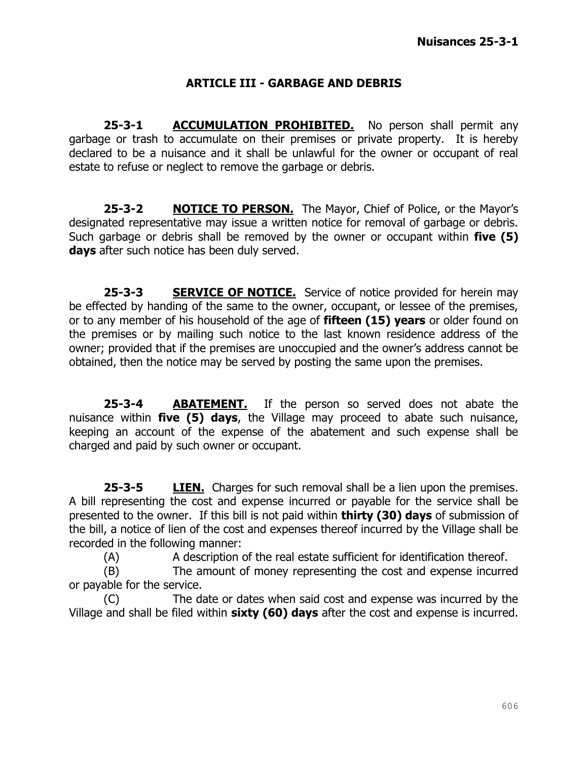#### **ARTICLE III - GARBAGE AND DEBRIS**

**25-3-1 ACCUMULATION PROHIBITED.** No person shall permit any garbage or trash to accumulate on their premises or private property. It is hereby declared to be a nuisance and it shall be unlawful for the owner or occupant of real estate to refuse or neglect to remove the garbage or debris.

**25-3-2 NOTICE TO PERSON.** The Mayor, Chief of Police, or the Mayor's designated representative may issue a written notice for removal of garbage or debris. Such garbage or debris shall be removed by the owner or occupant within **five (5) days** after such notice has been duly served.

**25-3-3 SERVICE OF NOTICE.** Service of notice provided for herein may be effected by handing of the same to the owner, occupant, or lessee of the premises, or to any member of his household of the age of **fifteen (15) years** or older found on the premises or by mailing such notice to the last known residence address of the owner; provided that if the premises are unoccupied and the owner's address cannot be obtained, then the notice may be served by posting the same upon the premises.

**25-3-4 ABATEMENT.** If the person so served does not abate the nuisance within **five (5) days**, the Village may proceed to abate such nuisance, keeping an account of the expense of the abatement and such expense shall be charged and paid by such owner or occupant.

**25-3-5 LIEN.** Charges for such removal shall be a lien upon the premises. A bill representing the cost and expense incurred or payable for the service shall be presented to the owner. If this bill is not paid within **thirty (30) days** of submission of the bill, a notice of lien of the cost and expenses thereof incurred by the Village shall be recorded in the following manner:

(A) A description of the real estate sufficient for identification thereof.

(B) The amount of money representing the cost and expense incurred or payable for the service.

(C) The date or dates when said cost and expense was incurred by the Village and shall be filed within **sixty (60) days** after the cost and expense is incurred.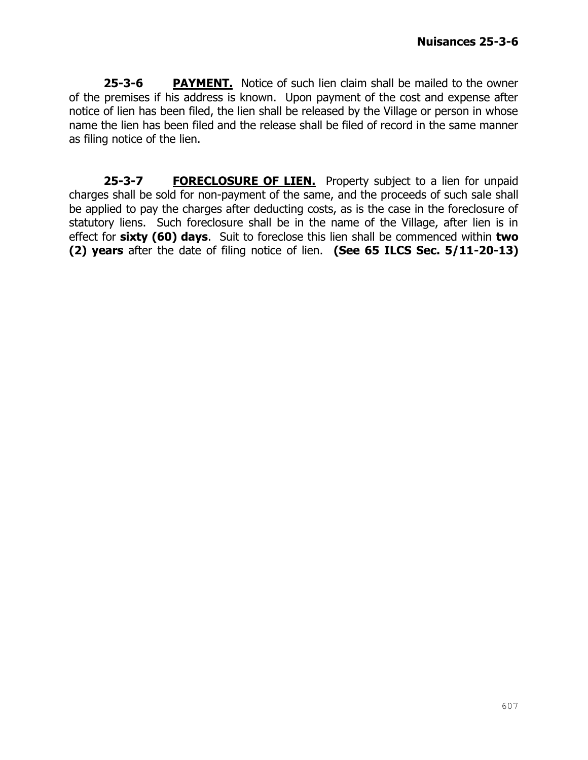**25-3-6 PAYMENT.** Notice of such lien claim shall be mailed to the owner of the premises if his address is known. Upon payment of the cost and expense after notice of lien has been filed, the lien shall be released by the Village or person in whose name the lien has been filed and the release shall be filed of record in the same manner as filing notice of the lien.

**25-3-7 FORECLOSURE OF LIEN.** Property subject to a lien for unpaid charges shall be sold for non-payment of the same, and the proceeds of such sale shall be applied to pay the charges after deducting costs, as is the case in the foreclosure of statutory liens. Such foreclosure shall be in the name of the Village, after lien is in effect for **sixty (60) days**. Suit to foreclose this lien shall be commenced within **two (2) years** after the date of filing notice of lien. **(See 65 ILCS Sec. 5/11-20-13)**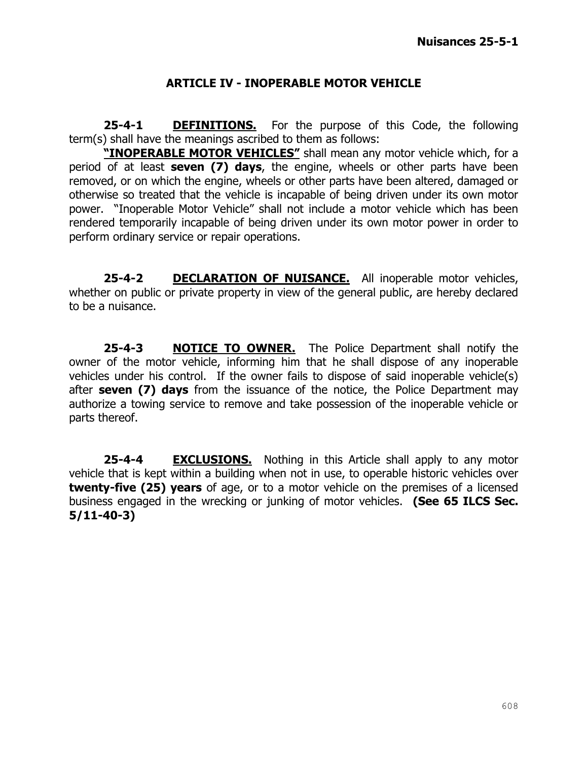#### **ARTICLE IV - INOPERABLE MOTOR VEHICLE**

**25-4-1 DEFINITIONS.** For the purpose of this Code, the following term(s) shall have the meanings ascribed to them as follows:

**"INOPERABLE MOTOR VEHICLES"** shall mean any motor vehicle which, for a period of at least **seven (7) days**, the engine, wheels or other parts have been removed, or on which the engine, wheels or other parts have been altered, damaged or otherwise so treated that the vehicle is incapable of being driven under its own motor power. "Inoperable Motor Vehicle" shall not include a motor vehicle which has been rendered temporarily incapable of being driven under its own motor power in order to perform ordinary service or repair operations.

**25-4-2 DECLARATION OF NUISANCE.** All inoperable motor vehicles, whether on public or private property in view of the general public, are hereby declared to be a nuisance.

**25-4-3 NOTICE TO OWNER.** The Police Department shall notify the owner of the motor vehicle, informing him that he shall dispose of any inoperable vehicles under his control. If the owner fails to dispose of said inoperable vehicle(s) after **seven (7) days** from the issuance of the notice, the Police Department may authorize a towing service to remove and take possession of the inoperable vehicle or parts thereof.

**25-4-4 EXCLUSIONS.** Nothing in this Article shall apply to any motor vehicle that is kept within a building when not in use, to operable historic vehicles over **twenty-five (25) years** of age, or to a motor vehicle on the premises of a licensed business engaged in the wrecking or junking of motor vehicles. **(See 65 ILCS Sec. 5/11-40-3)**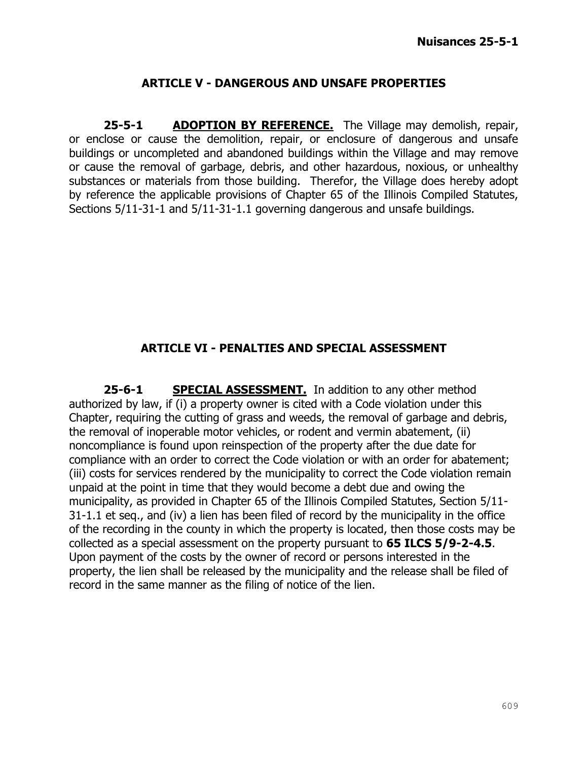#### **ARTICLE V - DANGEROUS AND UNSAFE PROPERTIES**

25-5-1 **ADOPTION BY REFERENCE.** The Village may demolish, repair, or enclose or cause the demolition, repair, or enclosure of dangerous and unsafe buildings or uncompleted and abandoned buildings within the Village and may remove or cause the removal of garbage, debris, and other hazardous, noxious, or unhealthy substances or materials from those building. Therefor, the Village does hereby adopt by reference the applicable provisions of Chapter 65 of the Illinois Compiled Statutes, Sections 5/11-31-1 and 5/11-31-1.1 governing dangerous and unsafe buildings.

#### **ARTICLE VI - PENALTIES AND SPECIAL ASSESSMENT**

25-6-1 **SPECIAL ASSESSMENT.** In addition to any other method authorized by law, if (i) a property owner is cited with a Code violation under this Chapter, requiring the cutting of grass and weeds, the removal of garbage and debris, the removal of inoperable motor vehicles, or rodent and vermin abatement, (ii) noncompliance is found upon reinspection of the property after the due date for compliance with an order to correct the Code violation or with an order for abatement; (iii) costs for services rendered by the municipality to correct the Code violation remain unpaid at the point in time that they would become a debt due and owing the municipality, as provided in Chapter 65 of the Illinois Compiled Statutes, Section 5/11- 31-1.1 et seq., and (iv) a lien has been filed of record by the municipality in the office of the recording in the county in which the property is located, then those costs may be collected as a special assessment on the property pursuant to **65 ILCS 5/9-2-4.5**. Upon payment of the costs by the owner of record or persons interested in the property, the lien shall be released by the municipality and the release shall be filed of record in the same manner as the filing of notice of the lien.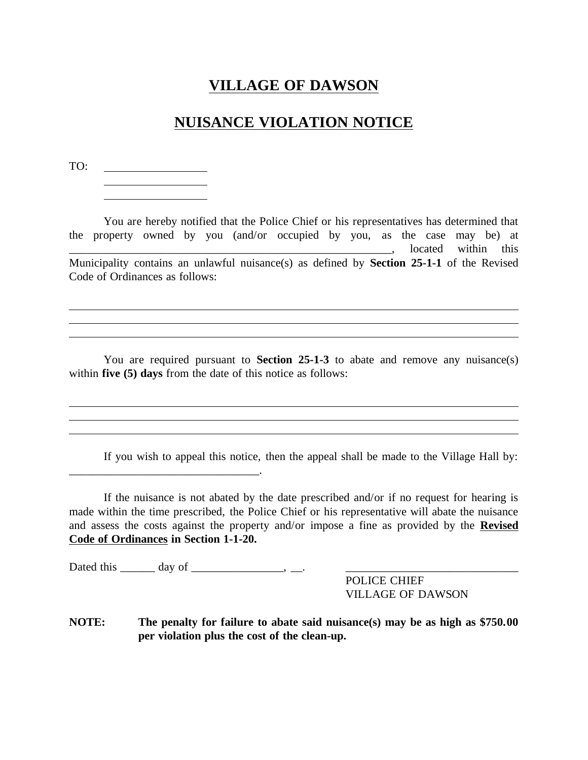## **NUISANCE VIOLATION NOTICE**

TO:

<u> 1990 - Johann Barbara, martin a</u>

You are hereby notified that the Police Chief or his representatives has determined that the property owned by you (and/or occupied by you, as the case may be) at \_\_\_\_\_\_\_\_\_\_\_\_\_\_\_\_\_\_\_\_\_\_\_\_\_\_\_\_\_\_\_\_\_\_\_\_\_\_\_\_\_\_\_\_\_\_\_\_\_\_\_\_\_\_\_\_, located within this Municipality contains an unlawful nuisance(s) as defined by **Section 25-1-1** of the Revised Code of Ordinances as follows:

You are required pursuant to **Section 25-1-3** to abate and remove any nuisance(s) within **five (5) days** from the date of this notice as follows:

If you wish to appeal this notice, then the appeal shall be made to the Village Hall by:

If the nuisance is not abated by the date prescribed and/or if no request for hearing is made within the time prescribed, the Police Chief or his representative will abate the nuisance and assess the costs against the property and/or impose a fine as provided by the **Revised Code of Ordinances in Section 1-1-20.**

Dated this  $\_\_\_\_$  day of  $\_\_\_\_\_\_\_\$ 

POLICE CHIEF VILLAGE OF DAWSON

**NOTE: The penalty for failure to abate said nuisance(s) may be as high as \$750.00 per violation plus the cost of the clean-up.**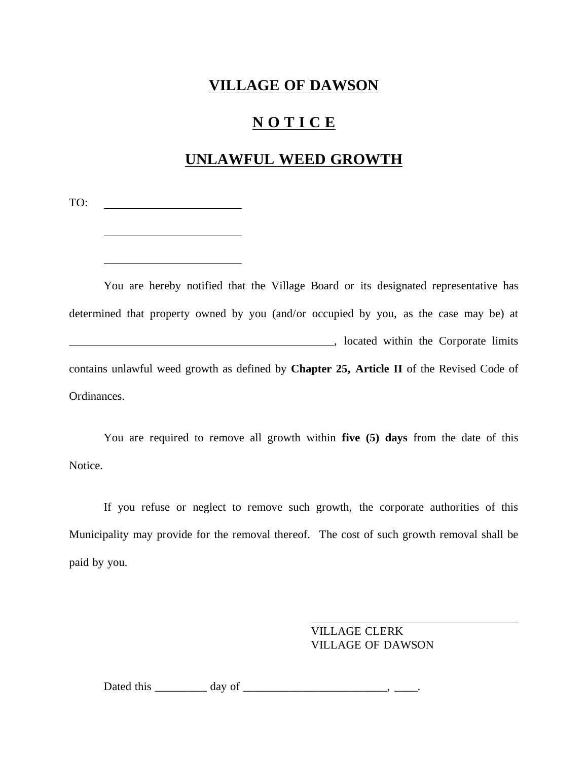# **N O T I C E**

## **UNLAWFUL WEED GROWTH**

TO: <u> 1990 - Johann Barbara, martin a</u>

You are hereby notified that the Village Board or its designated representative has determined that property owned by you (and/or occupied by you, as the case may be) at \_\_\_\_\_\_\_\_\_\_\_\_\_\_\_\_\_\_\_\_\_\_\_\_\_\_\_\_\_\_\_\_\_\_\_\_\_\_\_\_\_\_\_\_\_\_, located within the Corporate limits contains unlawful weed growth as defined by **Chapter 25, Article II** of the Revised Code of Ordinances.

You are required to remove all growth within **five (5) days** from the date of this Notice.

If you refuse or neglect to remove such growth, the corporate authorities of this Municipality may provide for the removal thereof. The cost of such growth removal shall be paid by you.

> VILLAGE CLERK VILLAGE OF DAWSON

Dated this \_\_\_\_\_\_\_\_\_ day of \_\_\_\_\_\_\_\_\_\_\_\_\_\_\_\_\_\_\_\_\_\_\_\_\_, \_\_\_\_.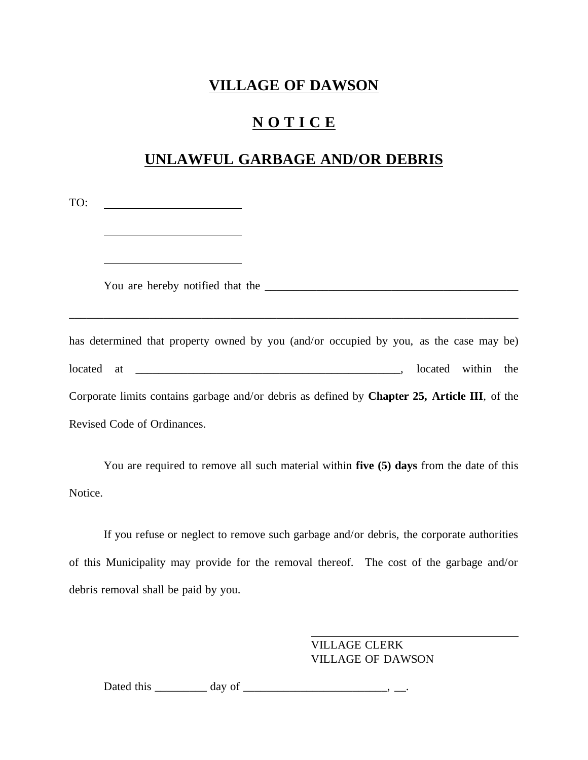## **N O T I C E**

## **UNLAWFUL GARBAGE AND/OR DEBRIS**

| TO:<br><u> 1989 - John Stein, Amerikaansk politiker (</u>                                     |  |  |  |
|-----------------------------------------------------------------------------------------------|--|--|--|
|                                                                                               |  |  |  |
|                                                                                               |  |  |  |
| has determined that property owned by you (and/or occupied by you, as the case may be)        |  |  |  |
|                                                                                               |  |  |  |
| Corporate limits contains garbage and/or debris as defined by Chapter 25, Article III, of the |  |  |  |
| Revised Code of Ordinances.                                                                   |  |  |  |

You are required to remove all such material within **five (5) days** from the date of this Notice.

If you refuse or neglect to remove such garbage and/or debris, the corporate authorities of this Municipality may provide for the removal thereof. The cost of the garbage and/or debris removal shall be paid by you.

> VILLAGE CLERK VILLAGE OF DAWSON

Dated this \_\_\_\_\_\_\_\_\_ day of \_\_\_\_\_\_\_\_\_\_\_\_\_\_\_\_\_\_\_\_\_\_\_\_\_, \_\_.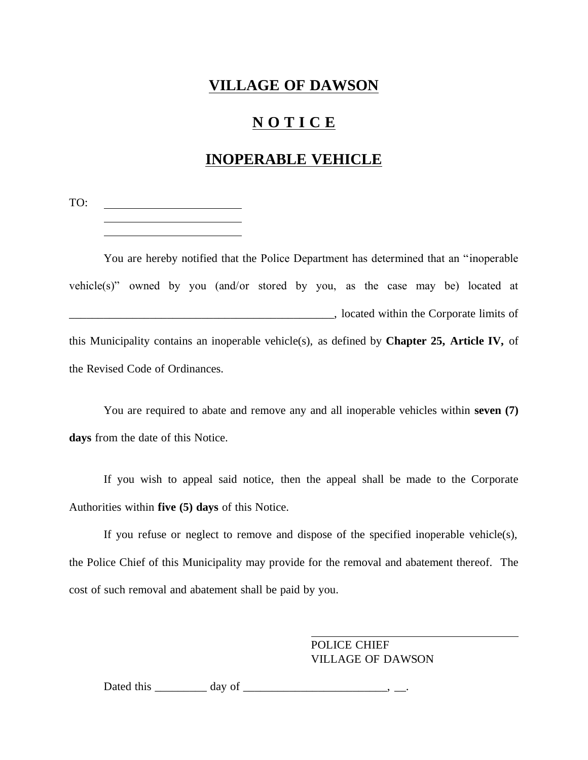## **N O T I C E**

## **INOPERABLE VEHICLE**

TO:

You are hereby notified that the Police Department has determined that an "inoperable vehicle(s)" owned by you (and/or stored by you, as the case may be) located at \_\_\_\_\_\_\_\_\_\_\_\_\_\_\_\_\_\_\_\_\_\_\_\_\_\_\_\_\_\_\_\_\_\_\_\_\_\_\_\_\_\_\_\_\_\_, located within the Corporate limits of this Municipality contains an inoperable vehicle(s), as defined by **Chapter 25, Article IV,** of the Revised Code of Ordinances.

You are required to abate and remove any and all inoperable vehicles within **seven (7) days** from the date of this Notice.

If you wish to appeal said notice, then the appeal shall be made to the Corporate Authorities within **five (5) days** of this Notice.

If you refuse or neglect to remove and dispose of the specified inoperable vehicle(s), the Police Chief of this Municipality may provide for the removal and abatement thereof. The cost of such removal and abatement shall be paid by you.

> POLICE CHIEF VILLAGE OF DAWSON

Dated this \_\_\_\_\_\_\_\_\_ day of \_\_\_\_\_\_\_\_\_\_\_\_\_\_\_\_\_\_\_\_\_\_\_\_\_, \_\_.